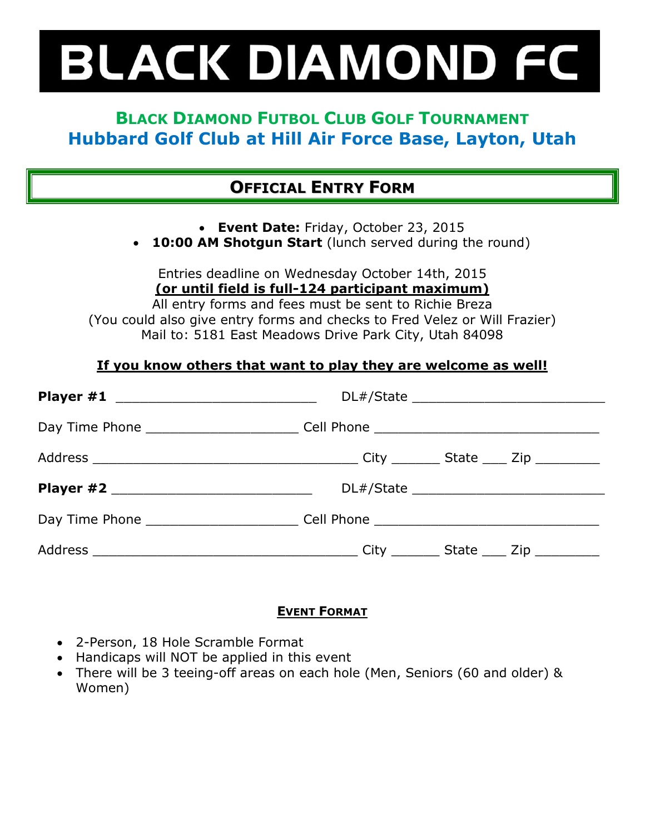## **BLACK DIAMOND FC**

## **BLACK DIAMOND FUTBOL CLUB GOLF TOURNAMENT Hubbard Golf Club at Hill Air Force Base, Layton, Utah**

## **OFFICIAL ENTRY FORM**

**Event Date:** Friday, October 23, 2015

**10:00 AM Shotgun Start** (lunch served during the round)

Entries deadline on Wednesday October 14th, 2015 **(or until field is full-124 participant maximum)**

All entry forms and fees must be sent to Richie Breza (You could also give entry forms and checks to Fred Velez or Will Frazier) Mail to: 5181 East Meadows Drive Park City, Utah 84098

### **If you know others that want to play they are welcome as well!**

| Day Time Phone _____________________________Cell Phone _________________________  |  |  |
|-----------------------------------------------------------------------------------|--|--|
|                                                                                   |  |  |
|                                                                                   |  |  |
| Day Time Phone ______________________________Cell Phone _________________________ |  |  |
|                                                                                   |  |  |

### **EVENT FORMAT**

- 2-Person, 18 Hole Scramble Format
- Handicaps will NOT be applied in this event
- There will be 3 teeing-off areas on each hole (Men, Seniors (60 and older) & Women)